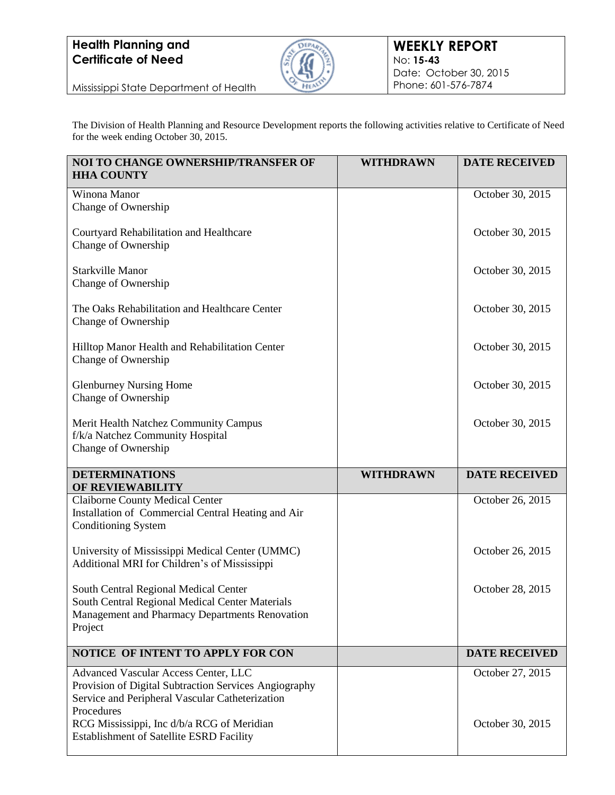

Mississippi State Department of Health

The Division of Health Planning and Resource Development reports the following activities relative to Certificate of Need for the week ending October 30, 2015.

| NOI TO CHANGE OWNERSHIP/TRANSFER OF<br><b>HHA COUNTY</b>                                                                                                                                                                                                        | <b>WITHDRAWN</b> | <b>DATE RECEIVED</b>                 |
|-----------------------------------------------------------------------------------------------------------------------------------------------------------------------------------------------------------------------------------------------------------------|------------------|--------------------------------------|
| Winona Manor<br>Change of Ownership                                                                                                                                                                                                                             |                  | October 30, 2015                     |
| Courtyard Rehabilitation and Healthcare<br>Change of Ownership                                                                                                                                                                                                  |                  | October 30, 2015                     |
| <b>Starkville Manor</b><br>Change of Ownership                                                                                                                                                                                                                  |                  | October 30, 2015                     |
| The Oaks Rehabilitation and Healthcare Center<br>Change of Ownership                                                                                                                                                                                            |                  | October 30, 2015                     |
| Hilltop Manor Health and Rehabilitation Center<br>Change of Ownership                                                                                                                                                                                           |                  | October 30, 2015                     |
| <b>Glenburney Nursing Home</b><br>Change of Ownership                                                                                                                                                                                                           |                  | October 30, 2015                     |
| Merit Health Natchez Community Campus<br>f/k/a Natchez Community Hospital<br>Change of Ownership                                                                                                                                                                |                  | October 30, 2015                     |
| <b>DETERMINATIONS</b><br>OF REVIEWABILITY                                                                                                                                                                                                                       | <b>WITHDRAWN</b> | <b>DATE RECEIVED</b>                 |
| <b>Claiborne County Medical Center</b><br>Installation of Commercial Central Heating and Air<br><b>Conditioning System</b>                                                                                                                                      |                  | October 26, 2015                     |
| University of Mississippi Medical Center (UMMC)<br>Additional MRI for Children's of Mississippi                                                                                                                                                                 |                  | October 26, 2015                     |
| South Central Regional Medical Center<br>South Central Regional Medical Center Materials<br>Management and Pharmacy Departments Renovation<br>Project                                                                                                           |                  | October 28, 2015                     |
| NOTICE OF INTENT TO APPLY FOR CON                                                                                                                                                                                                                               |                  | <b>DATE RECEIVED</b>                 |
| Advanced Vascular Access Center, LLC<br>Provision of Digital Subtraction Services Angiography<br>Service and Peripheral Vascular Catheterization<br>Procedures<br>RCG Mississippi, Inc d/b/a RCG of Meridian<br><b>Establishment of Satellite ESRD Facility</b> |                  | October 27, 2015<br>October 30, 2015 |
|                                                                                                                                                                                                                                                                 |                  |                                      |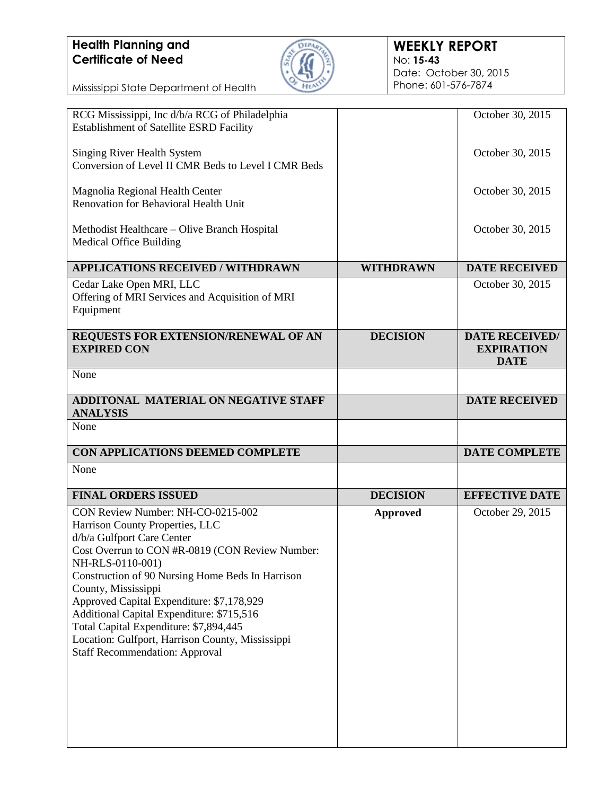

#### **WEEKLY REPORT** No: **15-43** Date: October 30, 2015 Phone: 601-576-7874

| RCG Mississippi, Inc d/b/a RCG of Philadelphia                              |                  | October 30, 2015      |
|-----------------------------------------------------------------------------|------------------|-----------------------|
| Establishment of Satellite ESRD Facility                                    |                  |                       |
|                                                                             |                  |                       |
| <b>Singing River Health System</b>                                          |                  | October 30, 2015      |
| Conversion of Level II CMR Beds to Level I CMR Beds                         |                  |                       |
| Magnolia Regional Health Center                                             |                  | October 30, 2015      |
| Renovation for Behavioral Health Unit                                       |                  |                       |
|                                                                             |                  |                       |
| Methodist Healthcare – Olive Branch Hospital                                |                  | October 30, 2015      |
| <b>Medical Office Building</b>                                              |                  |                       |
| <b>APPLICATIONS RECEIVED / WITHDRAWN</b>                                    | <b>WITHDRAWN</b> | <b>DATE RECEIVED</b>  |
|                                                                             |                  |                       |
| Cedar Lake Open MRI, LLC<br>Offering of MRI Services and Acquisition of MRI |                  | October 30, 2015      |
| Equipment                                                                   |                  |                       |
|                                                                             |                  |                       |
| REQUESTS FOR EXTENSION/RENEWAL OF AN                                        | <b>DECISION</b>  | <b>DATE RECEIVED/</b> |
| <b>EXPIRED CON</b>                                                          |                  | <b>EXPIRATION</b>     |
|                                                                             |                  | <b>DATE</b>           |
| None                                                                        |                  |                       |
| ADDITONAL MATERIAL ON NEGATIVE STAFF                                        |                  | <b>DATE RECEIVED</b>  |
| <b>ANALYSIS</b>                                                             |                  |                       |
| None                                                                        |                  |                       |
|                                                                             |                  |                       |
|                                                                             |                  |                       |
| CON APPLICATIONS DEEMED COMPLETE                                            |                  | <b>DATE COMPLETE</b>  |
| None                                                                        |                  |                       |
| <b>FINAL ORDERS ISSUED</b>                                                  | <b>DECISION</b>  | <b>EFFECTIVE DATE</b> |
|                                                                             |                  |                       |
| CON Review Number: NH-CO-0215-002                                           | <b>Approved</b>  | October 29, 2015      |
| Harrison County Properties, LLC                                             |                  |                       |
| d/b/a Gulfport Care Center                                                  |                  |                       |
| Cost Overrun to CON #R-0819 (CON Review Number:                             |                  |                       |
| NH-RLS-0110-001)                                                            |                  |                       |
| Construction of 90 Nursing Home Beds In Harrison<br>County, Mississippi     |                  |                       |
| Approved Capital Expenditure: \$7,178,929                                   |                  |                       |
| Additional Capital Expenditure: \$715,516                                   |                  |                       |
| Total Capital Expenditure: \$7,894,445                                      |                  |                       |
| Location: Gulfport, Harrison County, Mississippi                            |                  |                       |
| <b>Staff Recommendation: Approval</b>                                       |                  |                       |
|                                                                             |                  |                       |
|                                                                             |                  |                       |
|                                                                             |                  |                       |
|                                                                             |                  |                       |
|                                                                             |                  |                       |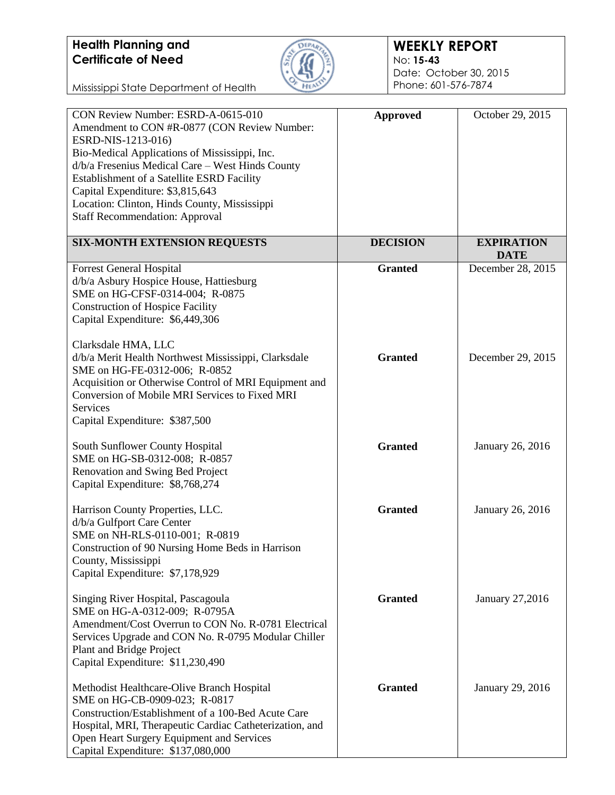

#### **WEEKLY REPORT** No: **15-43** Date: October 30, 2015 Phone: 601-576-7874

| CON Review Number: ESRD-A-0615-010<br>Amendment to CON #R-0877 (CON Review Number:<br>ESRD-NIS-1213-016)<br>Bio-Medical Applications of Mississippi, Inc.<br>d/b/a Fresenius Medical Care - West Hinds County<br>Establishment of a Satellite ESRD Facility<br>Capital Expenditure: \$3,815,643<br>Location: Clinton, Hinds County, Mississippi<br><b>Staff Recommendation: Approval</b> | <b>Approved</b> | October 29, 2015                 |
|------------------------------------------------------------------------------------------------------------------------------------------------------------------------------------------------------------------------------------------------------------------------------------------------------------------------------------------------------------------------------------------|-----------------|----------------------------------|
| <b>SIX-MONTH EXTENSION REQUESTS</b>                                                                                                                                                                                                                                                                                                                                                      | <b>DECISION</b> | <b>EXPIRATION</b><br><b>DATE</b> |
| <b>Forrest General Hospital</b><br>d/b/a Asbury Hospice House, Hattiesburg<br>SME on HG-CFSF-0314-004; R-0875<br><b>Construction of Hospice Facility</b><br>Capital Expenditure: \$6,449,306                                                                                                                                                                                             | <b>Granted</b>  | December 28, 2015                |
| Clarksdale HMA, LLC<br>d/b/a Merit Health Northwest Mississippi, Clarksdale<br>SME on HG-FE-0312-006; R-0852<br>Acquisition or Otherwise Control of MRI Equipment and<br>Conversion of Mobile MRI Services to Fixed MRI<br>Services<br>Capital Expenditure: \$387,500                                                                                                                    | <b>Granted</b>  | December 29, 2015                |
| South Sunflower County Hospital<br>SME on HG-SB-0312-008; R-0857<br>Renovation and Swing Bed Project<br>Capital Expenditure: \$8,768,274                                                                                                                                                                                                                                                 | <b>Granted</b>  | January 26, 2016                 |
| Harrison County Properties, LLC.<br>d/b/a Gulfport Care Center<br>SME on NH-RLS-0110-001; R-0819<br>Construction of 90 Nursing Home Beds in Harrison<br>County, Mississippi<br>Capital Expenditure: \$7,178,929                                                                                                                                                                          | <b>Granted</b>  | January 26, 2016                 |
| Singing River Hospital, Pascagoula<br>SME on HG-A-0312-009; R-0795A<br>Amendment/Cost Overrun to CON No. R-0781 Electrical<br>Services Upgrade and CON No. R-0795 Modular Chiller<br>Plant and Bridge Project<br>Capital Expenditure: \$11,230,490                                                                                                                                       | <b>Granted</b>  | January 27,2016                  |
| Methodist Healthcare-Olive Branch Hospital<br>SME on HG-CB-0909-023; R-0817<br>Construction/Establishment of a 100-Bed Acute Care<br>Hospital, MRI, Therapeutic Cardiac Catheterization, and<br>Open Heart Surgery Equipment and Services<br>Capital Expenditure: \$137,080,000                                                                                                          | <b>Granted</b>  | January 29, 2016                 |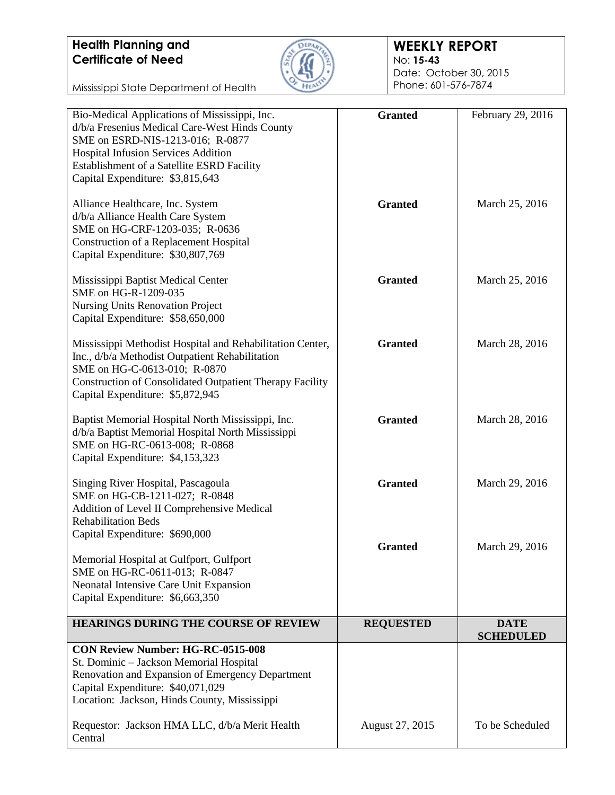

#### **WEEKLY REPORT** No: **15-43** Date: October 30, 2015

Phone: 601-576-7874

| Bio-Medical Applications of Mississippi, Inc.<br>d/b/a Fresenius Medical Care-West Hinds County<br>SME on ESRD-NIS-1213-016; R-0877                                                                                                                 | <b>Granted</b>   | February 29, 2016               |
|-----------------------------------------------------------------------------------------------------------------------------------------------------------------------------------------------------------------------------------------------------|------------------|---------------------------------|
| Hospital Infusion Services Addition<br>Establishment of a Satellite ESRD Facility<br>Capital Expenditure: \$3,815,643                                                                                                                               |                  |                                 |
| Alliance Healthcare, Inc. System<br>d/b/a Alliance Health Care System<br>SME on HG-CRF-1203-035; R-0636<br><b>Construction of a Replacement Hospital</b><br>Capital Expenditure: \$30,807,769                                                       | <b>Granted</b>   | March 25, 2016                  |
| Mississippi Baptist Medical Center<br>SME on HG-R-1209-035<br><b>Nursing Units Renovation Project</b><br>Capital Expenditure: \$58,650,000                                                                                                          | <b>Granted</b>   | March 25, 2016                  |
| Mississippi Methodist Hospital and Rehabilitation Center,<br>Inc., d/b/a Methodist Outpatient Rehabilitation<br>SME on HG-C-0613-010; R-0870<br><b>Construction of Consolidated Outpatient Therapy Facility</b><br>Capital Expenditure: \$5,872,945 | <b>Granted</b>   | March 28, 2016                  |
| Baptist Memorial Hospital North Mississippi, Inc.<br>d/b/a Baptist Memorial Hospital North Mississippi<br>SME on HG-RC-0613-008; R-0868<br>Capital Expenditure: \$4,153,323                                                                         | <b>Granted</b>   | March 28, 2016                  |
| Singing River Hospital, Pascagoula<br>SME on HG-CB-1211-027; R-0848<br>Addition of Level II Comprehensive Medical<br><b>Rehabilitation Beds</b><br>Capital Expenditure: \$690,000                                                                   | <b>Granted</b>   | March 29, 2016                  |
| Memorial Hospital at Gulfport, Gulfport<br>SME on HG-RC-0611-013; R-0847<br>Neonatal Intensive Care Unit Expansion<br>Capital Expenditure: \$6,663,350                                                                                              | <b>Granted</b>   | March 29, 2016                  |
| <b>HEARINGS DURING THE COURSE OF REVIEW</b>                                                                                                                                                                                                         | <b>REQUESTED</b> | <b>DATE</b><br><b>SCHEDULED</b> |
| <b>CON Review Number: HG-RC-0515-008</b><br>St. Dominic - Jackson Memorial Hospital<br>Renovation and Expansion of Emergency Department<br>Capital Expenditure: \$40,071,029<br>Location: Jackson, Hinds County, Mississippi                        |                  |                                 |
| Requestor: Jackson HMA LLC, d/b/a Merit Health<br>Central                                                                                                                                                                                           | August 27, 2015  | To be Scheduled                 |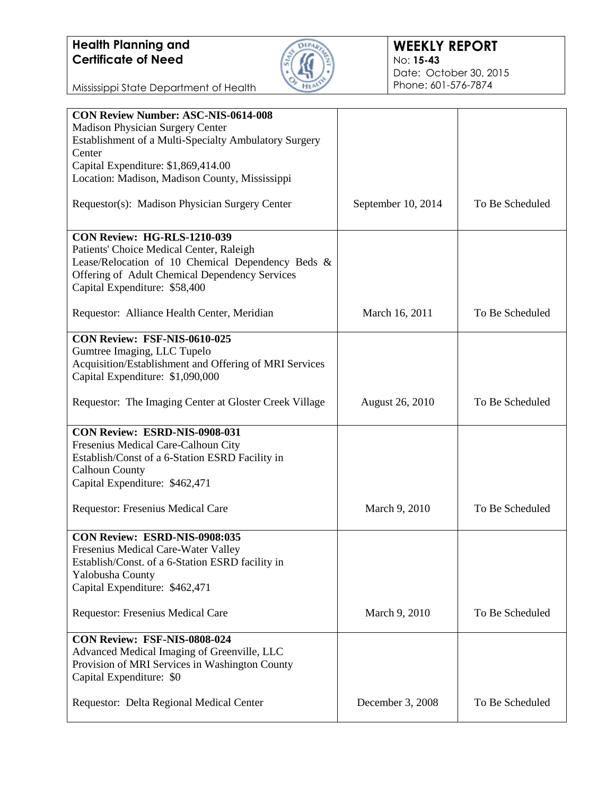

| <b>CON Review Number: ASC-NIS-0614-008</b>             |                        |                 |
|--------------------------------------------------------|------------------------|-----------------|
| Madison Physician Surgery Center                       |                        |                 |
| Establishment of a Multi-Specialty Ambulatory Surgery  |                        |                 |
| Center                                                 |                        |                 |
|                                                        |                        |                 |
| Capital Expenditure: \$1,869,414.00                    |                        |                 |
| Location: Madison, Madison County, Mississippi         |                        |                 |
| Requestor(s): Madison Physician Surgery Center         | September 10, 2014     | To Be Scheduled |
|                                                        |                        |                 |
|                                                        |                        |                 |
| <b>CON Review: HG-RLS-1210-039</b>                     |                        |                 |
| Patients' Choice Medical Center, Raleigh               |                        |                 |
| Lease/Relocation of 10 Chemical Dependency Beds &      |                        |                 |
| Offering of Adult Chemical Dependency Services         |                        |                 |
|                                                        |                        |                 |
| Capital Expenditure: \$58,400                          |                        |                 |
|                                                        |                        |                 |
| Requestor: Alliance Health Center, Meridian            | March 16, 2011         | To Be Scheduled |
|                                                        |                        |                 |
| CON Review: FSF-NIS-0610-025                           |                        |                 |
| Gumtree Imaging, LLC Tupelo                            |                        |                 |
| Acquisition/Establishment and Offering of MRI Services |                        |                 |
| Capital Expenditure: \$1,090,000                       |                        |                 |
|                                                        |                        |                 |
| Requestor: The Imaging Center at Gloster Creek Village | <b>August 26, 2010</b> | To Be Scheduled |
|                                                        |                        |                 |
|                                                        |                        |                 |
| CON Review: ESRD-NIS-0908-031                          |                        |                 |
| Fresenius Medical Care-Calhoun City                    |                        |                 |
| Establish/Const of a 6-Station ESRD Facility in        |                        |                 |
| <b>Calhoun County</b>                                  |                        |                 |
| Capital Expenditure: \$462,471                         |                        |                 |
|                                                        |                        |                 |
| Requestor: Fresenius Medical Care                      | March 9, 2010          | To Be Scheduled |
|                                                        |                        |                 |
|                                                        |                        |                 |
| CON Review: ESRD-NIS-0908:035                          |                        |                 |
| Fresenius Medical Care-Water Valley                    |                        |                 |
| Establish/Const. of a 6-Station ESRD facility in       |                        |                 |
| Yalobusha County                                       |                        |                 |
| Capital Expenditure: \$462,471                         |                        |                 |
|                                                        |                        |                 |
| Requestor: Fresenius Medical Care                      | March 9, 2010          | To Be Scheduled |
|                                                        |                        |                 |
| CON Review: FSF-NIS-0808-024                           |                        |                 |
|                                                        |                        |                 |
| Advanced Medical Imaging of Greenville, LLC            |                        |                 |
| Provision of MRI Services in Washington County         |                        |                 |
| Capital Expenditure: \$0                               |                        |                 |
|                                                        |                        |                 |
| Requestor: Delta Regional Medical Center               | December 3, 2008       | To Be Scheduled |
|                                                        |                        |                 |